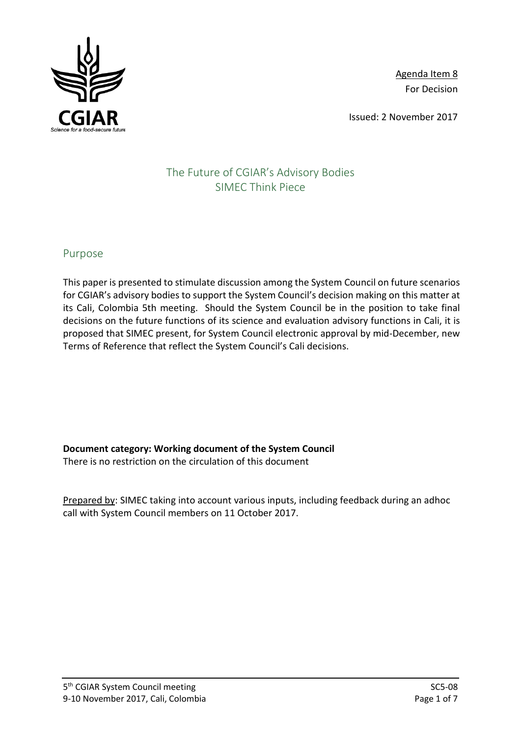

Agenda Item 8 For Decision

Issued: 2 November 2017

# The Future of CGIAR's Advisory Bodies SIMEC Think Piece

# Purpose

This paper is presented to stimulate discussion among the System Council on future scenarios for CGIAR's advisory bodies to support the System Council's decision making on this matter at its Cali, Colombia 5th meeting. Should the System Council be in the position to take final decisions on the future functions of its science and evaluation advisory functions in Cali, it is proposed that SIMEC present, for System Council electronic approval by mid-December, new Terms of Reference that reflect the System Council's Cali decisions.

**Document category: Working document of the System Council** There is no restriction on the circulation of this document

Prepared by: SIMEC taking into account various inputs, including feedback during an adhoc call with System Council members on 11 October 2017.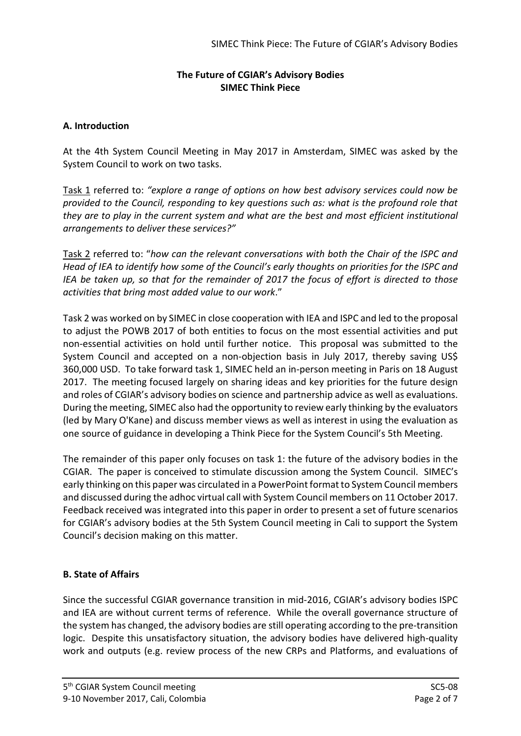# **The Future of CGIAR's Advisory Bodies SIMEC Think Piece**

## **A. Introduction**

At the 4th System Council Meeting in May 2017 in Amsterdam, SIMEC was asked by the System Council to work on two tasks.

Task 1 referred to: *"explore a range of options on how best advisory services could now be provided to the Council, responding to key questions such as: what is the profound role that they are to play in the current system and what are the best and most efficient institutional arrangements to deliver these services?"*

Task 2 referred to: "*how can the relevant conversations with both the Chair of the ISPC and Head of IEA to identify how some of the Council's early thoughts on priorities for the ISPC and IEA be taken up, so that for the remainder of 2017 the focus of effort is directed to those activities that bring most added value to our work*."

Task 2 was worked on by SIMEC in close cooperation with IEA and ISPC and led to the proposal to adjust the POWB 2017 of both entities to focus on the most essential activities and put non-essential activities on hold until further notice. This proposal was submitted to the System Council and accepted on a non-objection basis in July 2017, thereby saving US\$ 360,000 USD. To take forward task 1, SIMEC held an in-person meeting in Paris on 18 August 2017. The meeting focused largely on sharing ideas and key priorities for the future design and roles of CGIAR's advisory bodies on science and partnership advice as well as evaluations. During the meeting, SIMEC also had the opportunity to review early thinking by the evaluators (led by Mary O'Kane) and discuss member views as well as interest in using the evaluation as one source of guidance in developing a Think Piece for the System Council's 5th Meeting.

The remainder of this paper only focuses on task 1: the future of the advisory bodies in the CGIAR. The paper is conceived to stimulate discussion among the System Council. SIMEC's early thinking on this paper was circulated in a PowerPoint format to System Council members and discussed during the adhoc virtual call with System Council members on 11 October 2017. Feedback received was integrated into this paper in order to present a set of future scenarios for CGIAR's advisory bodies at the 5th System Council meeting in Cali to support the System Council's decision making on this matter.

# **B. State of Affairs**

Since the successful CGIAR governance transition in mid-2016, CGIAR's advisory bodies ISPC and IEA are without current terms of reference. While the overall governance structure of the system has changed, the advisory bodies are still operating according to the pre-transition logic. Despite this unsatisfactory situation, the advisory bodies have delivered high-quality work and outputs (e.g. review process of the new CRPs and Platforms, and evaluations of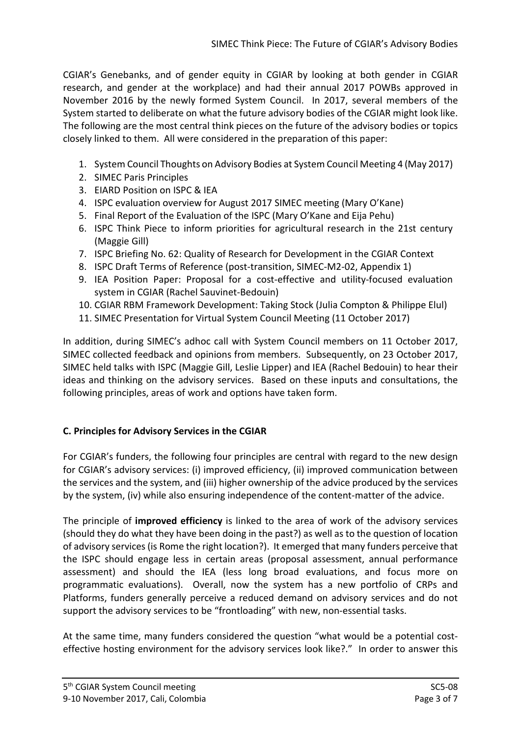CGIAR's Genebanks, and of gender equity in CGIAR by looking at both gender in CGIAR research, and gender at the workplace) and had their annual 2017 POWBs approved in November 2016 by the newly formed System Council. In 2017, several members of the System started to deliberate on what the future advisory bodies of the CGIAR might look like. The following are the most central think pieces on the future of the advisory bodies or topics closely linked to them. All were considered in the preparation of this paper:

- 1. System Council Thoughts on Advisory Bodies at System Council Meeting 4 (May 2017)
- 2. SIMEC Paris Principles
- 3. EIARD Position on ISPC & IEA
- 4. ISPC evaluation overview for August 2017 SIMEC meeting (Mary O'Kane)
- 5. Final Report of the Evaluation of the ISPC (Mary O'Kane and Eija Pehu)
- 6. ISPC Think Piece to inform priorities for agricultural research in the 21st century (Maggie Gill)
- 7. ISPC Briefing No. 62: Quality of Research for Development in the CGIAR Context
- 8. ISPC Draft Terms of Reference (post-transition, SIMEC-M2-02, Appendix 1)
- 9. IEA Position Paper: Proposal for a cost-effective and utility-focused evaluation system in CGIAR (Rachel Sauvinet-Bedouin)
- 10. CGIAR RBM Framework Development: Taking Stock (Julia Compton & Philippe Elul)
- 11. SIMEC Presentation for Virtual System Council Meeting (11 October 2017)

In addition, during SIMEC's adhoc call with System Council members on 11 October 2017, SIMEC collected feedback and opinions from members. Subsequently, on 23 October 2017, SIMEC held talks with ISPC (Maggie Gill, Leslie Lipper) and IEA (Rachel Bedouin) to hear their ideas and thinking on the advisory services. Based on these inputs and consultations, the following principles, areas of work and options have taken form.

# **C. Principles for Advisory Services in the CGIAR**

For CGIAR's funders, the following four principles are central with regard to the new design for CGIAR's advisory services: (i) improved efficiency, (ii) improved communication between the services and the system, and (iii) higher ownership of the advice produced by the services by the system, (iv) while also ensuring independence of the content-matter of the advice.

The principle of **improved efficiency** is linked to the area of work of the advisory services (should they do what they have been doing in the past?) as well as to the question of location of advisory services (is Rome the right location?). It emerged that many funders perceive that the ISPC should engage less in certain areas (proposal assessment, annual performance assessment) and should the IEA (less long broad evaluations, and focus more on programmatic evaluations). Overall, now the system has a new portfolio of CRPs and Platforms, funders generally perceive a reduced demand on advisory services and do not support the advisory services to be "frontloading" with new, non-essential tasks.

At the same time, many funders considered the question "what would be a potential costeffective hosting environment for the advisory services look like?." In order to answer this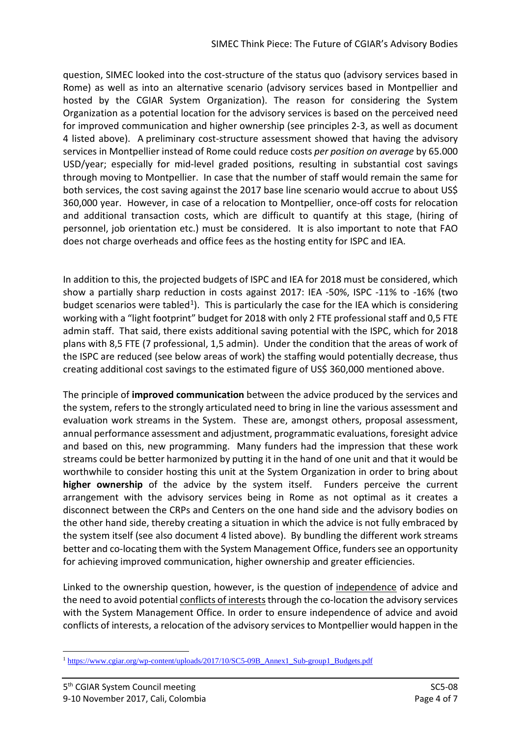question, SIMEC looked into the cost-structure of the status quo (advisory services based in Rome) as well as into an alternative scenario (advisory services based in Montpellier and hosted by the CGIAR System Organization). The reason for considering the System Organization as a potential location for the advisory services is based on the perceived need for improved communication and higher ownership (see principles 2-3, as well as document 4 listed above). A preliminary cost-structure assessment showed that having the advisory services in Montpellier instead of Rome could reduce costs *per position on average* by 65.000 USD/year; especially for mid-level graded positions, resulting in substantial cost savings through moving to Montpellier. In case that the number of staff would remain the same for both services, the cost saving against the 2017 base line scenario would accrue to about US\$ 360,000 year. However, in case of a relocation to Montpellier, once-off costs for relocation and additional transaction costs, which are difficult to quantify at this stage, (hiring of personnel, job orientation etc.) must be considered. It is also important to note that FAO does not charge overheads and office fees as the hosting entity for ISPC and IEA.

In addition to this, the projected budgets of ISPC and IEA for 2018 must be considered, which show a partially sharp reduction in costs against 2017: IEA -50%, ISPC -11% to -16% (two budget scenarios were tabled<sup>1</sup>). This is particularly the case for the IEA which is considering working with a "light footprint" budget for 2018 with only 2 FTE professional staff and 0,5 FTE admin staff. That said, there exists additional saving potential with the ISPC, which for 2018 plans with 8,5 FTE (7 professional, 1,5 admin). Under the condition that the areas of work of the ISPC are reduced (see below areas of work) the staffing would potentially decrease, thus creating additional cost savings to the estimated figure of US\$ 360,000 mentioned above.

The principle of **improved communication** between the advice produced by the services and the system, refers to the strongly articulated need to bring in line the various assessment and evaluation work streams in the System. These are, amongst others, proposal assessment, annual performance assessment and adjustment, programmatic evaluations, foresight advice and based on this, new programming. Many funders had the impression that these work streams could be better harmonized by putting it in the hand of one unit and that it would be worthwhile to consider hosting this unit at the System Organization in order to bring about **higher ownership** of the advice by the system itself. Funders perceive the current arrangement with the advisory services being in Rome as not optimal as it creates a disconnect between the CRPs and Centers on the one hand side and the advisory bodies on the other hand side, thereby creating a situation in which the advice is not fully embraced by the system itself (see also document 4 listed above). By bundling the different work streams better and co-locating them with the System Management Office, funders see an opportunity for achieving improved communication, higher ownership and greater efficiencies.

Linked to the ownership question, however, is the question of independence of advice and the need to avoid potential conflicts of interests through the co-location the advisory services with the System Management Office. In order to ensure independence of advice and avoid conflicts of interests, a relocation of the advisory services to Montpellier would happen in the

<span id="page-3-0"></span><sup>&</sup>lt;u>.</u> <sup>1</sup> [https://www.cgiar.org/wp-content/uploads/2017/10/SC5-09B\\_Annex1\\_Sub-group1\\_Budgets.pdf](https://www.cgiar.org/wp-content/uploads/2017/10/SC5-09B_Annex1_Sub-group1_Budgets.pdf)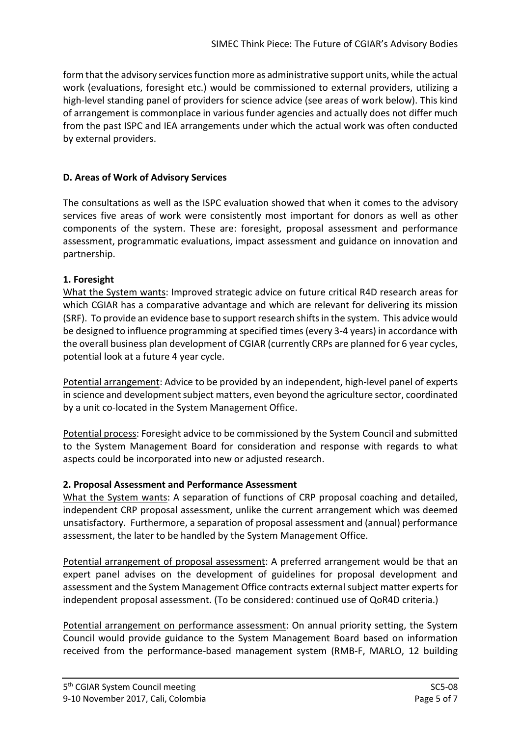form that the advisory services function more as administrative support units, while the actual work (evaluations, foresight etc.) would be commissioned to external providers, utilizing a high-level standing panel of providers for science advice (see areas of work below). This kind of arrangement is commonplace in various funder agencies and actually does not differ much from the past ISPC and IEA arrangements under which the actual work was often conducted by external providers.

# **D. Areas of Work of Advisory Services**

The consultations as well as the ISPC evaluation showed that when it comes to the advisory services five areas of work were consistently most important for donors as well as other components of the system. These are: foresight, proposal assessment and performance assessment, programmatic evaluations, impact assessment and guidance on innovation and partnership.

## **1. Foresight**

What the System wants: Improved strategic advice on future critical R4D research areas for which CGIAR has a comparative advantage and which are relevant for delivering its mission (SRF). To provide an evidence base to support research shifts in the system. This advice would be designed to influence programming at specified times (every 3-4 years) in accordance with the overall business plan development of CGIAR (currently CRPs are planned for 6 year cycles, potential look at a future 4 year cycle.

Potential arrangement: Advice to be provided by an independent, high-level panel of experts in science and development subject matters, even beyond the agriculture sector, coordinated by a unit co-located in the System Management Office.

Potential process: Foresight advice to be commissioned by the System Council and submitted to the System Management Board for consideration and response with regards to what aspects could be incorporated into new or adjusted research.

## **2. Proposal Assessment and Performance Assessment**

What the System wants: A separation of functions of CRP proposal coaching and detailed, independent CRP proposal assessment, unlike the current arrangement which was deemed unsatisfactory. Furthermore, a separation of proposal assessment and (annual) performance assessment, the later to be handled by the System Management Office.

Potential arrangement of proposal assessment: A preferred arrangement would be that an expert panel advises on the development of guidelines for proposal development and assessment and the System Management Office contracts external subject matter experts for independent proposal assessment. (To be considered: continued use of QoR4D criteria.)

Potential arrangement on performance assessment: On annual priority setting, the System Council would provide guidance to the System Management Board based on information received from the performance-based management system (RMB-F, MARLO, 12 building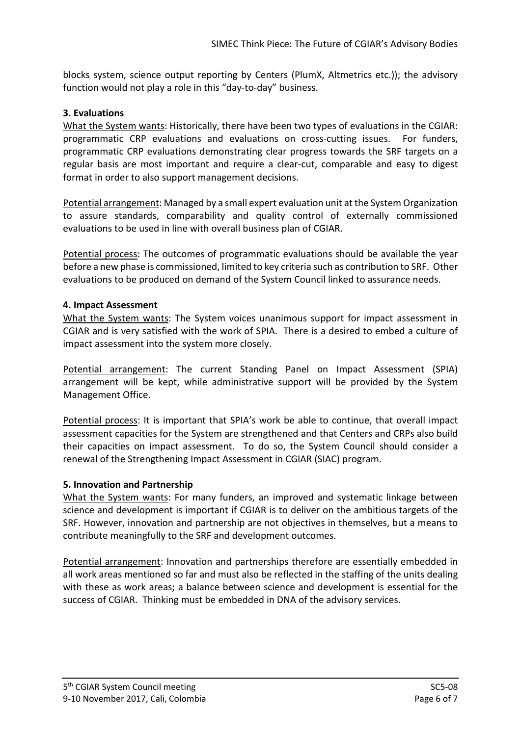blocks system, science output reporting by Centers (PlumX, Altmetrics etc.)); the advisory function would not play a role in this "day-to-day" business.

## **3. Evaluations**

What the System wants: Historically, there have been two types of evaluations in the CGIAR: programmatic CRP evaluations and evaluations on cross-cutting issues. For funders, programmatic CRP evaluations demonstrating clear progress towards the SRF targets on a regular basis are most important and require a clear-cut, comparable and easy to digest format in order to also support management decisions.

Potential arrangement: Managed by a small expert evaluation unit at the System Organization to assure standards, comparability and quality control of externally commissioned evaluations to be used in line with overall business plan of CGIAR.

Potential process: The outcomes of programmatic evaluations should be available the year before a new phase is commissioned, limited to key criteria such as contribution to SRF. Other evaluations to be produced on demand of the System Council linked to assurance needs.

## **4. Impact Assessment**

What the System wants: The System voices unanimous support for impact assessment in CGIAR and is very satisfied with the work of SPIA. There is a desired to embed a culture of impact assessment into the system more closely.

Potential arrangement: The current Standing Panel on Impact Assessment (SPIA) arrangement will be kept, while administrative support will be provided by the System Management Office.

Potential process: It is important that SPIA's work be able to continue, that overall impact assessment capacities for the System are strengthened and that Centers and CRPs also build their capacities on impact assessment. To do so, the System Council should consider a renewal of the Strengthening Impact Assessment in CGIAR (SIAC) program.

## **5. Innovation and Partnership**

What the System wants: For many funders, an improved and systematic linkage between science and development is important if CGIAR is to deliver on the ambitious targets of the SRF. However, innovation and partnership are not objectives in themselves, but a means to contribute meaningfully to the SRF and development outcomes.

Potential arrangement: Innovation and partnerships therefore are essentially embedded in all work areas mentioned so far and must also be reflected in the staffing of the units dealing with these as work areas; a balance between science and development is essential for the success of CGIAR. Thinking must be embedded in DNA of the advisory services.